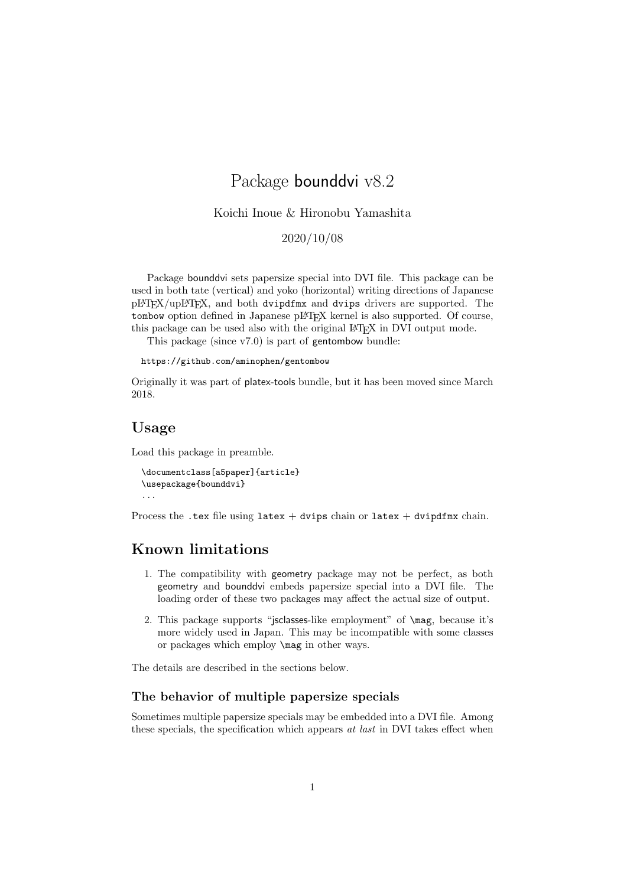# Package bounddvi v8.2

Koichi Inoue & Hironobu Yamashita

2020/10/08

Package bounddvi sets papersize special into DVI file. This package can be used in both tate (vertical) and yoko (horizontal) writing directions of Japanese pLATEX/upLATEX, and both dvipdfmx and dvips drivers are supported. The tombow option defined in Japanese pLAT<sub>EX</sub> kernel is also supported. Of course, this package can be used also with the original L<sup>AT</sup>FX in DVI output mode.

This package (since v7.0) is part of gentombow bundle:

https://github.com/aminophen/gentombow

Originally it was part of platex-tools bundle, but it has been moved since March 2018.

### **Usage**

Load this package in preamble.

```
\documentclass[a5paper]{article}
\usepackage{bounddvi}
...
```
Process the .tex file using latex + dvips chain or latex + dvipdfmx chain.

# **Known limitations**

- 1. The compatibility with geometry package may not be perfect, as both geometry and bounddvi embeds papersize special into a DVI file. The loading order of these two packages may affect the actual size of output.
- 2. This package supports "jsclasses-like employment" of \mag, because it's more widely used in Japan. This may be incompatible with some classes or packages which employ \mag in other ways.

The details are described in the sections below.

#### **The behavior of multiple papersize specials**

Sometimes multiple papersize specials may be embedded into a DVI file. Among these specials, the specification which appears *at last* in DVI takes effect when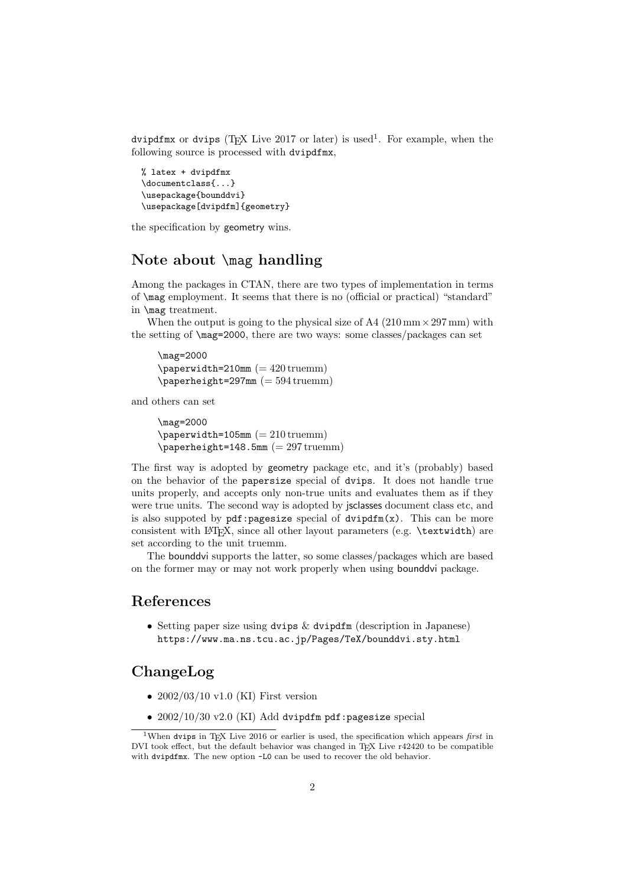dvipdfmx or dvips (T<sub>E</sub>X Live 2017 or later) is used<sup>1</sup>. For example, when the following source is processed with dvipdfmx,

```
% latex + dvipdfmx
\documentclass{...}
\usepackage{bounddvi}
\usepackage[dvipdfm]{geometry}
```
the specification by geometry wins.

# **Note about** \mag **handling**

Among the packages in CTAN, there are two types of implementation in terms of \mag employment. It seems that there is no (official or practical) "standard" in \mag treatment.

When the output is going to the physical size of A4 (210 mm*×*297 mm) with the setting of \mag=2000, there are two ways: some classes/packages can set

\mag=2000  $\epsilon$  /paperwidth=210mm (= 420 truemm)  $\epsilon_2$ 97mm (= 594 truemm)

and others can set

```
\mag=2000
\epsilon \paperwidth=105mm (= 210 truemm)
\epsilon_148.5mm (= 297 truemm)
```
The first way is adopted by geometry package etc, and it's (probably) based on the behavior of the papersize special of dvips. It does not handle true units properly, and accepts only non-true units and evaluates them as if they were true units. The second way is adopted by jsclasses document class etc, and is also suppoted by  $pdf:pagesize$  special of  $dvidfm(x)$ . This can be more consistent with LAT<sub>EX</sub>, since all other layout parameters (e.g. \textwidth) are set according to the unit truemm.

The bounddvi supports the latter, so some classes/packages which are based on the former may or may not work properly when using bounddvi package.

### **References**

• Setting paper size using dvips & dvipdfm (description in Japanese) https://www.ma.ns.tcu.ac.jp/Pages/TeX/bounddvi.sty.html

# **ChangeLog**

- $2002/03/10$  v1.0 (KI) First version
- $2002/10/30$  v2.0 (KI) Add dvipdfm pdf:pagesize special

<sup>&</sup>lt;sup>1</sup>When dvips in T<sub>E</sub>X Live 2016 or earlier is used, the specification which appears *first* in DVI took effect, but the default behavior was changed in TEX Live r42420 to be compatible with dvipdfmx. The new option -L0 can be used to recover the old behavior.